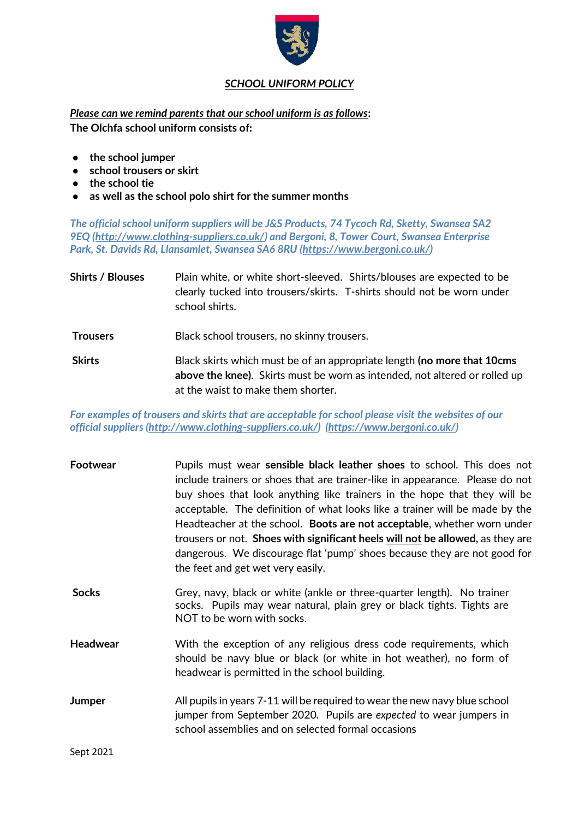

## *SCHOOL UNIFORM POLICY*

*Please can we remind parents that our school uniform is as follows***: The Olchfa school uniform consists of:**

- **the school jumper**
- **school trousers or skirt**
- **the school tie**
- **as well as the school polo shirt for the summer months**

*The official school uniform suppliers will be J&S Products, 74 Tycoch Rd, Sketty, Swansea SA2 9EQ [\(http://www.clothing-suppliers.co.uk/\)](http://www.clothing-suppliers.co.uk/) and Bergoni, 8, Tower Court, Swansea Enterprise Park, St. Davids Rd, Llansamlet, Swansea SA6 8RU [\(https://www.bergoni.co.uk/\)](https://www.bergoni.co.uk/)*

**Shirts / Blouses** Plain white, or white short-sleeved. Shirts/blouses are expected to be clearly tucked into trousers/skirts. T-shirts should not be worn under school shirts. **Trousers** Black school trousers, no skinny trousers.

**Skirts** Black skirts which must be of an appropriate length **(no more that 10cms above the knee)**. Skirts must be worn as intended, not altered or rolled up at the waist to make them shorter.

*For examples of trousers and skirts that are acceptable for school please visit the websites of our official suppliers [\(http://www.clothing-suppliers.co.uk/\)](http://www.clothing-suppliers.co.uk/) [\(https://www.bergoni.co.uk/\)](https://www.bergoni.co.uk/)*

| Footwear                    | Pupils must wear sensible black leather shoes to school. This does not                                                                                                                                 |
|-----------------------------|--------------------------------------------------------------------------------------------------------------------------------------------------------------------------------------------------------|
|                             | include trainers or shoes that are trainer-like in appearance. Please do not                                                                                                                           |
|                             | buy shoes that look anything like trainers in the hope that they will be                                                                                                                               |
|                             | acceptable. The definition of what looks like a trainer will be made by the                                                                                                                            |
|                             | Headteacher at the school. Boots are not acceptable, whether worn under                                                                                                                                |
|                             | trousers or not. Shoes with significant heels will not be allowed, as they are                                                                                                                         |
|                             | dangerous. We discourage flat 'pump' shoes because they are not good for                                                                                                                               |
|                             | the feet and get wet very easily.                                                                                                                                                                      |
| <b>Socks</b>                | Grey, navy, black or white (ankle or three-quarter length). No trainer<br>socks. Pupils may wear natural, plain grey or black tights. Tights are<br>NOT to be worn with socks.                         |
| Headwear                    | With the exception of any religious dress code requirements, which<br>should be navy blue or black (or white in hot weather), no form of<br>headwear is permitted in the school building.              |
| Jumper                      | All pupils in years 7-11 will be required to wear the new navy blue school<br>jumper from September 2020. Pupils are expected to wear jumpers in<br>school assemblies and on selected formal occasions |
| $\sim$ $\sim$ $\sim$ $\sim$ |                                                                                                                                                                                                        |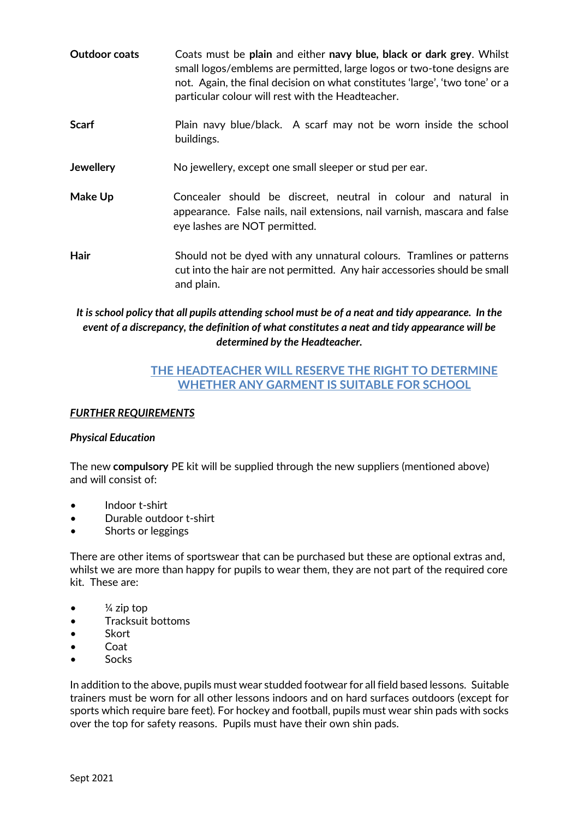- **Outdoor coats** Coats must be **plain** and either **navy blue, black or dark grey**. Whilst small logos/emblems are permitted, large logos or two-tone designs are not. Again, the final decision on what constitutes 'large', 'two tone' or a particular colour will rest with the Headteacher.
- **Scarf** Plain navy blue/black. A scarf may not be worn inside the school buildings.
- **Jewellery** No jewellery, except one small sleeper or stud per ear.
- **Make Up Concealer** should be discreet, neutral in colour and natural in appearance. False nails, nail extensions, nail varnish, mascara and false eye lashes are NOT permitted.
- **Hair** Should not be dyed with any unnatural colours. Tramlines or patterns cut into the hair are not permitted. Any hair accessories should be small and plain.

## *It is school policy that all pupils attending school must be of a neat and tidy appearance. In the event of a discrepancy, the definition of what constitutes a neat and tidy appearance will be determined by the Headteacher.*

# **THE HEADTEACHER WILL RESERVE THE RIGHT TO DETERMINE WHETHER ANY GARMENT IS SUITABLE FOR SCHOOL**

#### *FURTHER REQUIREMENTS*

#### *Physical Education*

The new **compulsory** PE kit will be supplied through the new suppliers (mentioned above) and will consist of:

- Indoor t-shirt
- Durable outdoor t-shirt
- Shorts or leggings

There are other items of sportswear that can be purchased but these are optional extras and, whilst we are more than happy for pupils to wear them, they are not part of the required core kit. These are:

- $\bullet$   $\frac{1}{4}$  zip top
- Tracksuit bottoms
- Skort
- Coat
- Socks

In addition to the above, pupils must wear studded footwear for all field based lessons. Suitable trainers must be worn for all other lessons indoors and on hard surfaces outdoors (except for sports which require bare feet). For hockey and football, pupils must wear shin pads with socks over the top for safety reasons. Pupils must have their own shin pads.